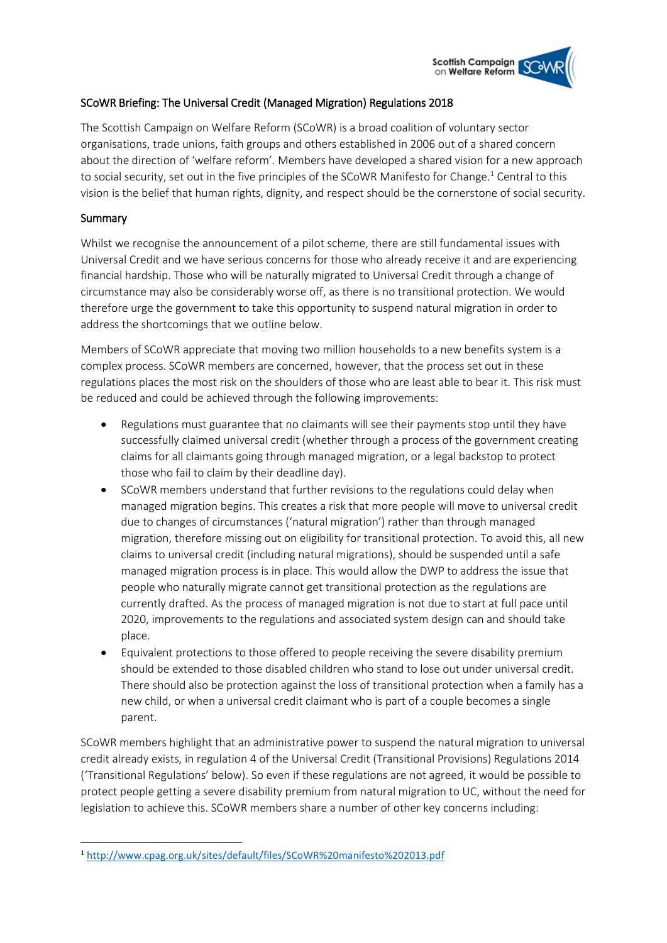# **Scottish Campaign** on Welfare Reform

# SCoWR Briefing: The Universal Credit (Managed Migration) Regulations 2018

The Scottish Campaign on Welfare Reform (SCoWR) is a broad coalition of voluntary sector organisations, trade unions, faith groups and others established in 2006 out of a shared concern about the direction of 'welfare reform'. Members have developed a shared vision for a new approach to social security, set out in the five principles of the SCoWR Manifesto for Change. <sup>1</sup> Central to this vision is the belief that human rights, dignity, and respect should be the cornerstone of social security.

## **Summary**

Whilst we recognise the announcement of a pilot scheme, there are still fundamental issues with Universal Credit and we have serious concerns for those who already receive it and are experiencing financial hardship. Those who will be naturally migrated to Universal Credit through a change of circumstance may also be considerably worse off, as there is no transitional protection. We would therefore urge the government to take this opportunity to suspend natural migration in order to address the shortcomings that we outline below.

Members of SCoWR appreciate that moving two million households to a new benefits system is a complex process. SCoWR members are concerned, however, that the process set out in these regulations places the most risk on the shoulders of those who are least able to bear it. This risk must be reduced and could be achieved through the following improvements:

- Regulations must guarantee that no claimants will see their payments stop until they have successfully claimed universal credit (whether through a process of the government creating claims for all claimants going through managed migration, or a legal backstop to protect those who fail to claim by their deadline day).
- SCoWR members understand that further revisions to the regulations could delay when managed migration begins. This creates a risk that more people will move to universal credit due to changes of circumstances ('natural migration') rather than through managed migration, therefore missing out on eligibility for transitional protection. To avoid this, all new claims to universal credit (including natural migrations), should be suspended until a safe managed migration process is in place. This would allow the DWP to address the issue that people who naturally migrate cannot get transitional protection as the regulations are currently drafted. As the process of managed migration is not due to start at full pace until 2020, improvements to the regulations and associated system design can and should take place.
- Equivalent protections to those offered to people receiving the severe disability premium should be extended to those disabled children who stand to lose out under universal credit. There should also be protection against the loss of transitional protection when a family has a new child, or when a universal credit claimant who is part of a couple becomes a single parent.

SCoWR members highlight that an administrative power to suspend the natural migration to universal credit already exists, in regulation 4 of the Universal Credit (Transitional Provisions) Regulations 2014 ('Transitional Regulations' below). So even if these regulations are not agreed, it would be possible to protect people getting a severe disability premium from natural migration to UC, without the need for legislation to achieve this. SCoWR members share a number of other key concerns including:

**<sup>.</sup>** <sup>1</sup> <http://www.cpag.org.uk/sites/default/files/SCoWR%20manifesto%202013.pdf>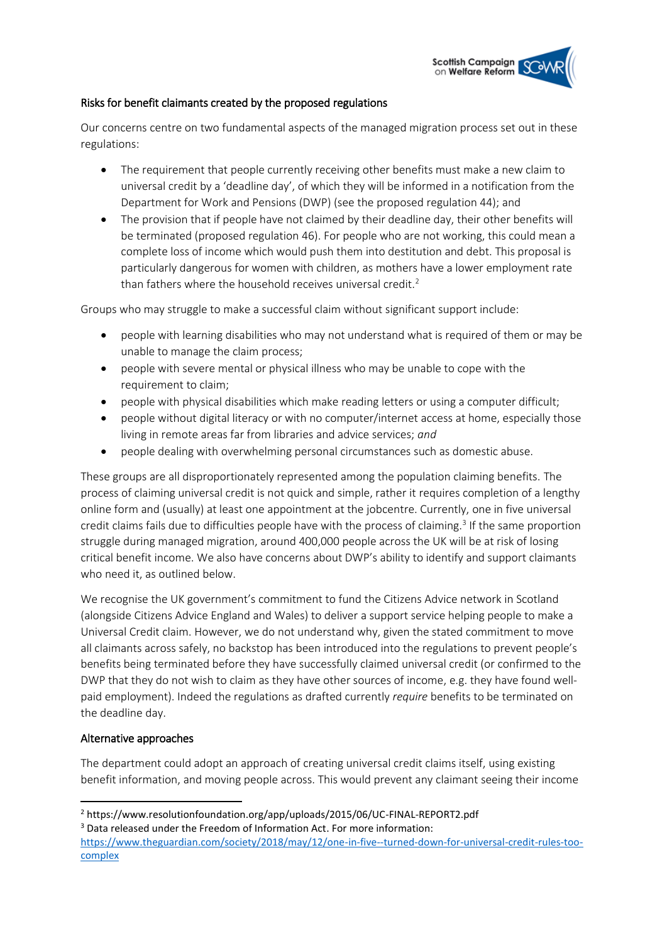

## Risks for benefit claimants created by the proposed regulations

Our concerns centre on two fundamental aspects of the managed migration process set out in these regulations:

- The requirement that people currently receiving other benefits must make a new claim to universal credit by a 'deadline day', of which they will be informed in a notification from the Department for Work and Pensions (DWP) (see the proposed regulation 44); and
- The provision that if people have not claimed by their deadline day, their other benefits will be terminated (proposed regulation 46). For people who are not working, this could mean a complete loss of income which would push them into destitution and debt. This proposal is particularly dangerous for women with children, as mothers have a lower employment rate than fathers where the household receives universal credit.<sup>2</sup>

Groups who may struggle to make a successful claim without significant support include:

- people with learning disabilities who may not understand what is required of them or may be unable to manage the claim process;
- people with severe mental or physical illness who may be unable to cope with the requirement to claim;
- people with physical disabilities which make reading letters or using a computer difficult;
- people without digital literacy or with no computer/internet access at home, especially those living in remote areas far from libraries and advice services; *and*
- people dealing with overwhelming personal circumstances such as domestic abuse.

These groups are all disproportionately represented among the population claiming benefits. The process of claiming universal credit is not quick and simple, rather it requires completion of a lengthy online form and (usually) at least one appointment at the jobcentre. Currently, one in five universal credit claims fails due to difficulties people have with the process of claiming.<sup>3</sup> If the same proportion struggle during managed migration, around 400,000 people across the UK will be at risk of losing critical benefit income. We also have concerns about DWP's ability to identify and support claimants who need it, as outlined below.

We recognise the UK government's commitment to fund the Citizens Advice network in Scotland (alongside Citizens Advice England and Wales) to deliver a support service helping people to make a Universal Credit claim. However, we do not understand why, given the stated commitment to move all claimants across safely, no backstop has been introduced into the regulations to prevent people's benefits being terminated before they have successfully claimed universal credit (or confirmed to the DWP that they do not wish to claim as they have other sources of income, e.g. they have found wellpaid employment). Indeed the regulations as drafted currently *require* benefits to be terminated on the deadline day.

#### Alternative approaches

**.** 

The department could adopt an approach of creating universal credit claims itself, using existing benefit information, and moving people across. This would prevent any claimant seeing their income

<sup>2</sup> https://www.resolutionfoundation.org/app/uploads/2015/06/UC-FINAL-REPORT2.pdf

<sup>&</sup>lt;sup>3</sup> Data released under the Freedom of Information Act. For more information:

[https://www.theguardian.com/society/2018/may/12/one-in-five--turned-down-for-universal-credit-rules-too](https://www.theguardian.com/society/2018/may/12/one-in-five--turned-down-for-universal-credit-rules-too-complex)[complex](https://www.theguardian.com/society/2018/may/12/one-in-five--turned-down-for-universal-credit-rules-too-complex)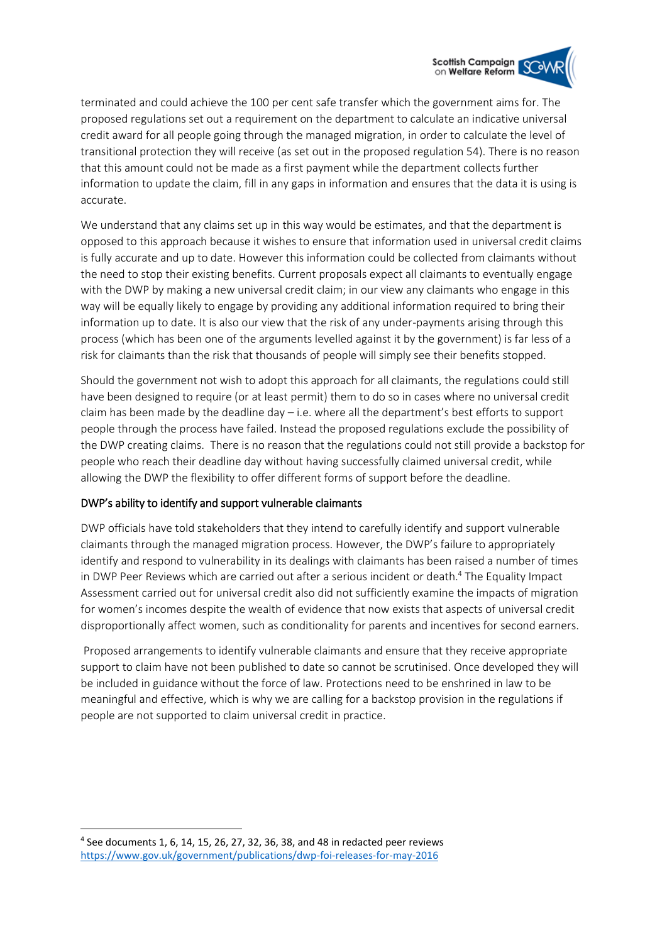**Scottish Campaign** on Welfare Reform

terminated and could achieve the 100 per cent safe transfer which the government aims for. The proposed regulations set out a requirement on the department to calculate an indicative universal credit award for all people going through the managed migration, in order to calculate the level of transitional protection they will receive (as set out in the proposed regulation 54). There is no reason that this amount could not be made as a first payment while the department collects further information to update the claim, fill in any gaps in information and ensures that the data it is using is accurate.

We understand that any claims set up in this way would be estimates, and that the department is opposed to this approach because it wishes to ensure that information used in universal credit claims is fully accurate and up to date. However this information could be collected from claimants without the need to stop their existing benefits. Current proposals expect all claimants to eventually engage with the DWP by making a new universal credit claim; in our view any claimants who engage in this way will be equally likely to engage by providing any additional information required to bring their information up to date. It is also our view that the risk of any under-payments arising through this process (which has been one of the arguments levelled against it by the government) is far less of a risk for claimants than the risk that thousands of people will simply see their benefits stopped.

Should the government not wish to adopt this approach for all claimants, the regulations could still have been designed to require (or at least permit) them to do so in cases where no universal credit claim has been made by the deadline day – i.e. where all the department's best efforts to support people through the process have failed. Instead the proposed regulations exclude the possibility of the DWP creating claims. There is no reason that the regulations could not still provide a backstop for people who reach their deadline day without having successfully claimed universal credit, while allowing the DWP the flexibility to offer different forms of support before the deadline.

# DWP's ability to identify and support vulnerable claimants

DWP officials have told stakeholders that they intend to carefully identify and support vulnerable claimants through the managed migration process. However, the DWP's failure to appropriately identify and respond to vulnerability in its dealings with claimants has been raised a number of times in DWP Peer Reviews which are carried out after a serious incident or death.<sup>4</sup> The Equality Impact Assessment carried out for universal credit also did not sufficiently examine the impacts of migration for women's incomes despite the wealth of evidence that now exists that aspects of universal credit disproportionally affect women, such as conditionality for parents and incentives for second earners.

Proposed arrangements to identify vulnerable claimants and ensure that they receive appropriate support to claim have not been published to date so cannot be scrutinised. Once developed they will be included in guidance without the force of law. Protections need to be enshrined in law to be meaningful and effective, which is why we are calling for a backstop provision in the regulations if people are not supported to claim universal credit in practice.

**.** 

<sup>4</sup> See documents 1, 6, 14, 15, 26, 27, 32, 36, 38, and 48 in redacted peer reviews <https://www.gov.uk/government/publications/dwp-foi-releases-for-may-2016>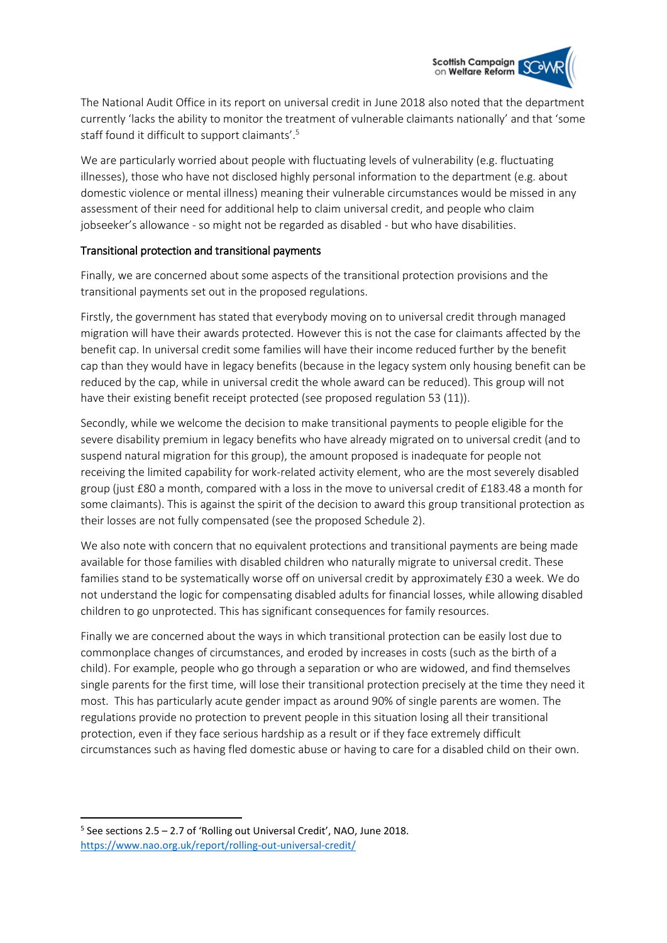

The National Audit Office in its report on universal credit in June 2018 also noted that the department currently 'lacks the ability to monitor the treatment of vulnerable claimants nationally' and that 'some staff found it difficult to support claimants'. 5

We are particularly worried about people with fluctuating levels of vulnerability (e.g. fluctuating illnesses), those who have not disclosed highly personal information to the department (e.g. about domestic violence or mental illness) meaning their vulnerable circumstances would be missed in any assessment of their need for additional help to claim universal credit, and people who claim jobseeker's allowance - so might not be regarded as disabled - but who have disabilities.

## Transitional protection and transitional payments

Finally, we are concerned about some aspects of the transitional protection provisions and the transitional payments set out in the proposed regulations.

Firstly, the government has stated that everybody moving on to universal credit through managed migration will have their awards protected. However this is not the case for claimants affected by the benefit cap. In universal credit some families will have their income reduced further by the benefit cap than they would have in legacy benefits (because in the legacy system only housing benefit can be reduced by the cap, while in universal credit the whole award can be reduced). This group will not have their existing benefit receipt protected (see proposed regulation 53 (11)).

Secondly, while we welcome the decision to make transitional payments to people eligible for the severe disability premium in legacy benefits who have already migrated on to universal credit (and to suspend natural migration for this group), the amount proposed is inadequate for people not receiving the limited capability for work-related activity element, who are the most severely disabled group (just £80 a month, compared with a loss in the move to universal credit of £183.48 a month for some claimants). This is against the spirit of the decision to award this group transitional protection as their losses are not fully compensated (see the proposed Schedule 2).

We also note with concern that no equivalent protections and transitional payments are being made available for those families with disabled children who naturally migrate to universal credit. These families stand to be systematically worse off on universal credit by approximately £30 a week. We do not understand the logic for compensating disabled adults for financial losses, while allowing disabled children to go unprotected. This has significant consequences for family resources.

Finally we are concerned about the ways in which transitional protection can be easily lost due to commonplace changes of circumstances, and eroded by increases in costs (such as the birth of a child). For example, people who go through a separation or who are widowed, and find themselves single parents for the first time, will lose their transitional protection precisely at the time they need it most. This has particularly acute gender impact as around 90% of single parents are women. The regulations provide no protection to prevent people in this situation losing all their transitional protection, even if they face serious hardship as a result or if they face extremely difficult circumstances such as having fled domestic abuse or having to care for a disabled child on their own.

**.** 

<sup>5</sup> See sections 2.5 – 2.7 of 'Rolling out Universal Credit', NAO, June 2018. <https://www.nao.org.uk/report/rolling-out-universal-credit/>